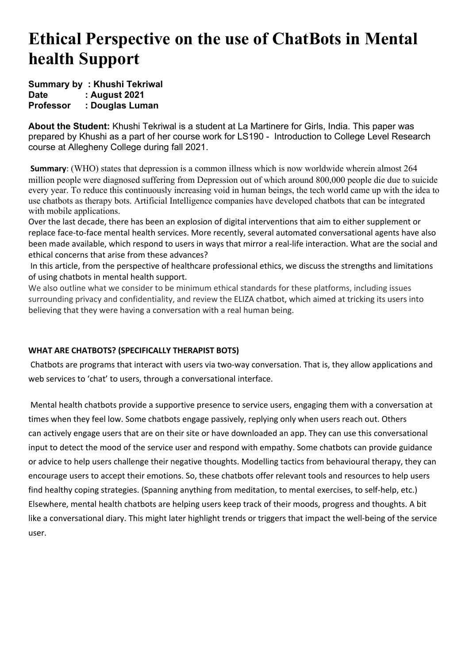# **Ethical Perspective on the use of ChatBots in Mental health Support**

## **Summary by : Khushi Tekriwal Date : August 2021 Professor : Douglas Luman**

**About the Student:** Khushi Tekriwal is a student at La Martinere for Girls, India. This paper was prepared by Khushi as a part of her course work for LS190 - Introduction to College Level Research course at Allegheny College during fall 2021.

**Summary:** (WHO) states that depression is a common illness which is now worldwide wherein almost 264 million people were diagnosed suffering from Depression out of which around 800,000 people die due to suicide every year. To reduce this continuously increasing void in human beings, the tech world came up with the idea to use chatbots as therapy bots. Artificial Intelligence companies have developed chatbots that can be integrated with mobile applications.

Over the last decade, there has been an explosion of digital interventions that aim to either supplement or replace face-to-face mental health services. More recently, several automated conversational agents have also been made available, which respond to users in ways that mirror a real-life interaction. What are the social and ethical concerns that arise from these advances?

In this article, from the perspective of healthcare professional ethics, we discuss the strengths and limitations of using chatbots in mental health support.

We also outline what we consider to be minimum ethical standards for these platforms, including issues surrounding privacy and confidentiality, and review the ELIZA chatbot, which aimed at tricking its users into believing that they were having a conversation with a real human being.

# **WHAT ARE CHATBOTS? (SPECIFICALLY THERAPIST BOTS)**

Chatbots are programs that interact with users via two-way conversation. That is, they allow applications and web services to 'chat' to users, through a conversational interface.

Mental health chatbots provide a supportive presence to service users, engaging them with a conversation at times when they feel low. Some chatbots engage passively, replying only when users reach out. Others can actively engage users that are on their site or have downloaded an app. They can use this conversational input to detect the mood of the service user and respond with empathy. Some chatbots can provide guidance or advice to help users challenge their negative thoughts. Modelling tactics from behavioural therapy, they can encourage users to accept their emotions. So, these chatbots offer relevant tools and resources to help users find healthy coping strategies. (Spanning anything from meditation, to mental exercises, to self-help, etc.) Elsewhere, mental health chatbots are helping users keep track of their moods, progress and thoughts. A bit like a conversational diary. This might later highlight trends or triggers that impact the well-being of the service user.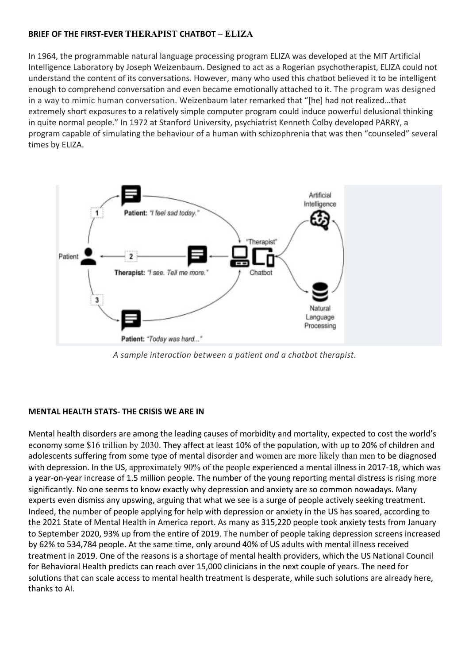### **BRIEF OF THE FIRST-EVER THERAPIST CHATBOT – ELIZA**

In 1964, the programmable natural language processing program ELIZA was developed at the MIT Artificial Intelligence Laboratory by Joseph Weizenbaum. Designed to act as a Rogerian psychotherapist, ELIZA could not understand the content of its conversations. However, many who used this chatbot believed it to be intelligent enough to comprehend conversation and even became emotionally attached to it. The program was designed in a way to mimic human conversation. Weizenbaum later remarked that "[he] had not realized…that extremely short exposures to a relatively simple computer program could induce powerful delusional thinking in quite normal people." In 1972 at Stanford University, psychiatrist Kenneth Colby developed PARRY, a program capable of simulating the behaviour of a human with schizophrenia that was then "counseled" several times by ELIZA.



*A sample interaction between a patient and a chatbot therapist*.

# **MENTAL HEALTH STATS- THE CRISIS WE ARE IN**

Mental health disorders are among the leading causes of morbidity and mortality, expected to cost the world's economy some \$16 trillion by 2030. They affect at least 10% of the population, with up to 20% of children and adolescents suffering from some type of mental disorder and women are more likely than men to be diagnosed with depression. In the US, approximately 90% of the people experienced a mental illness in 2017-18, which was a year-on-year increase of 1.5 million people. The number of the young reporting mental distress is rising more significantly. No one seems to know exactly why depression and anxiety are so common nowadays. Many experts even dismiss any upswing, arguing that what we see is a surge of people actively seeking treatment. Indeed, the number of people applying for help with depression or anxiety in the US has soared, according to the 2021 State of Mental Health in America report. As many as 315,220 people took anxiety tests from January to September 2020, 93% up from the entire of 2019. The number of people taking depression screens increased by 62% to 534,784 people. At the same time, only around 40% of US adults with mental illness received treatment in 2019. One of the reasons is a shortage of mental health providers, which the US National Council for Behavioral Health predicts can reach over 15,000 clinicians in the next couple of years. The need for solutions that can scale access to mental health treatment is desperate, while such solutions are already here, thanks to AI.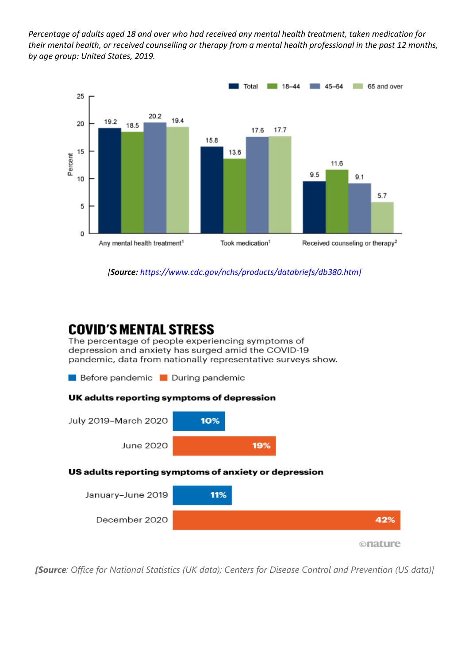*Percentage of adults aged 18 and over who had received any mental health treatment, taken medication for their mental health, or received counselling or therapy from a mental health professional in the past 12 months, by age group: United States, 2019.*



*[Source: https://www.cdc.gov/nchs/products/databriefs/db380.htm]*

# **COVID'S MENTAL STRESS**

The percentage of people experiencing symptoms of depression and anxiety has surged amid the COVID-19 pandemic, data from nationally representative surveys show.



onature

*[Source: Office for National Statistics (UK data); Centers for Disease Control and Prevention (US data)]*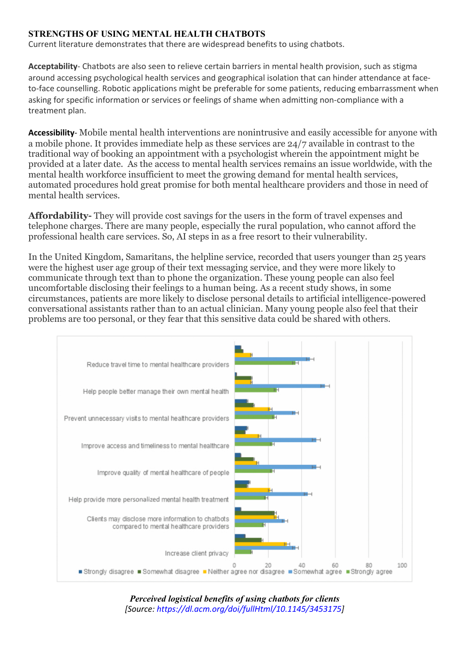# **STRENGTHS OF USING MENTAL HEALTH CHATBOTS**

Current literature demonstrates that there are widespread benefits to using chatbots.

**Acceptability**- Chatbots are also seen to relieve certain barriers in mental health provision, such as stigma around accessing psychological health services and geographical isolation that can hinder attendance at faceto-face counselling. Robotic applications might be preferable for some patients, reducing embarrassment when asking for specific information or services or feelings of shame when admitting non-compliance with a treatment plan.

**Accessibility**- Mobile mental health interventions are nonintrusive and easily accessible for anyone with a mobile phone. It provides immediate help as these services are 24/7 available in contrast to the traditional way of booking an appointment with a psychologist wherein the appointment might be provided at a later date. As the access to mental health services remains an issue worldwide, with the mental health workforce insufficient to meet the growing demand for mental health services, automated procedures hold great promise for both mental healthcare providers and those in need of mental health services.

**Affordability-** They will provide cost savings for the users in the form of travel expenses and telephone charges. There are many people, especially the rural population, who cannot afford the professional health care services. So, AI steps in as a free resort to their vulnerability.

In the United Kingdom, Samaritans, the helpline service, recorded that users younger than 25 years were the highest user age group of their text messaging service, and they were more likely to communicate through text than to phone the organization. These young people can also feel uncomfortable disclosing their feelings to a human being. As a recent study shows, in some circumstances, patients are more likely to disclose personal details to artificial intelligence-powered conversational assistants rather than to an actual clinician. Many young people also feel that their problems are too personal, or they fear that this sensitive data could be shared with others.



*Perceived logistical benefits of using chatbots for clients [Source: https://dl.acm.org/doi/fullHtml/10.1145/3453175]*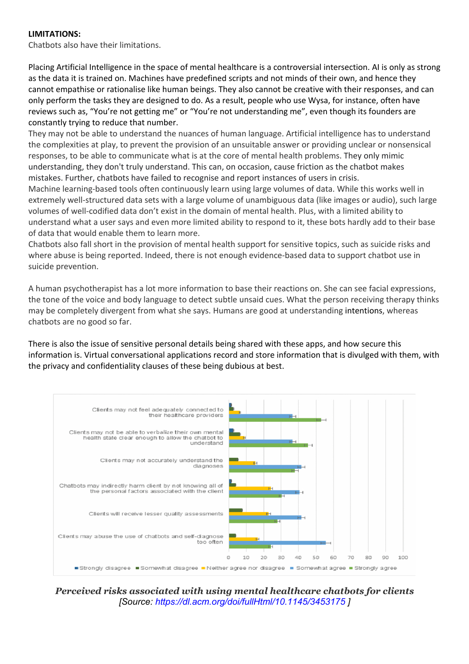### **LIMITATIONS:**

Chatbots also have their limitations.

Placing Artificial Intelligence in the space of mental healthcare is a controversial intersection. AI is only as strong as the data it is trained on. Machines have predefined scripts and not minds of their own, and hence they cannot empathise or rationalise like human beings. They also cannot be creative with their responses, and can only perform the tasks they are designed to do. As a result, people who use Wysa, for instance, often have reviews such as, "You're not getting me" or "You're not understanding me", even though its founders are constantly trying to reduce that number.

They may not be able to understand the nuances of human language. Artificial intelligence has to understand the complexities at play, to prevent the provision of an unsuitable answer or providing unclear or nonsensical responses, to be able to communicate what is at the core of mental health problems. They only mimic understanding, they don't truly understand. This can, on occasion, cause friction as the chatbot makes mistakes. Further, chatbots have failed to recognise and report instances of users in crisis.

Machine learning-based tools often continuously learn using large volumes of data. While this works well in extremely well-structured data sets with a large volume of unambiguous data (like images or audio), such large volumes of well-codified data don't exist in the domain of mental health. Plus, with a limited ability to understand what a user says and even more limited ability to respond to it, these bots hardly add to their base of data that would enable them to learn more.

Chatbots also fall short in the provision of mental health support for sensitive topics, such as suicide risks and where abuse is being reported. Indeed, there is not enough evidence-based data to support chatbot use in suicide prevention.

A human psychotherapist has a lot more information to base their reactions on. She can see facial expressions, the tone of the voice and body language to detect subtle unsaid cues. What the person receiving therapy thinks may be completely divergent from what she says. Humans are good at understanding intentions, whereas chatbots are no good so far.

There is also the issue of sensitive personal details being shared with these apps, and how secure this information is. Virtual conversational applications record and store information that is divulged with them, with the privacy and confidentiality clauses of these being dubious at best.



*Perceived risks associated with using mental healthcare chatbots for clients [Source: https://dl.acm.org/doi/fullHtml/10.1145/3453175 ]*